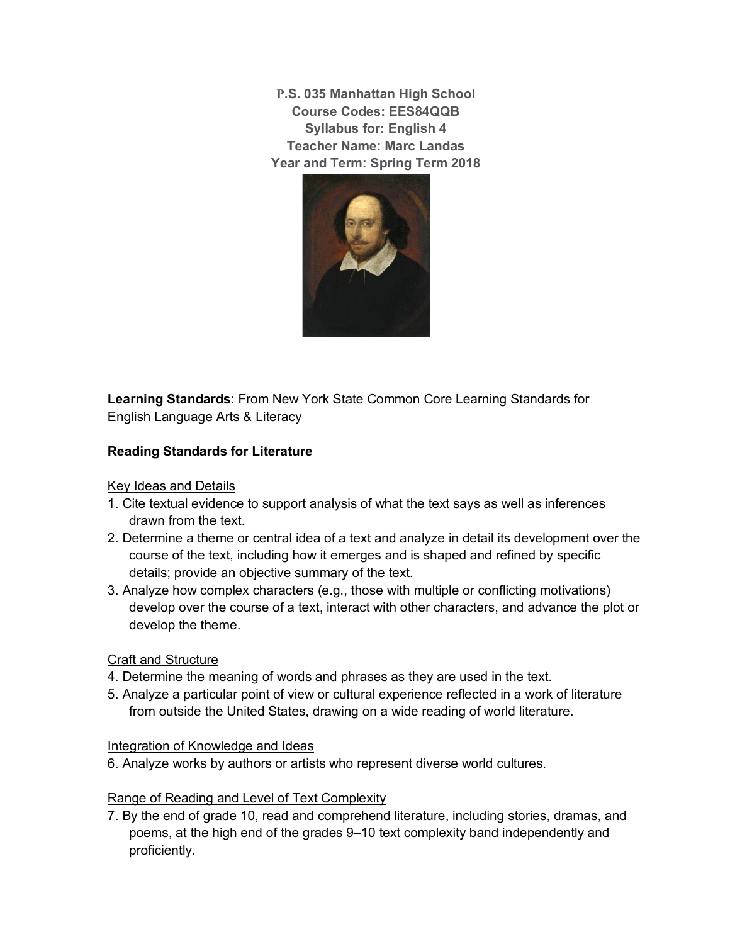**P.S. 035 Manhattan High School Course Codes: EES84QQB Syllabus for: English 4 Teacher Name: Marc Landas Year and Term: Spring Term 2018**



**Learning Standards**: From New York State Common Core Learning Standards for English Language Arts & Literacy

# **Reading Standards for Literature**

Key Ideas and Details

- 1. Cite textual evidence to support analysis of what the text says as well as inferences drawn from the text.
- 2. Determine a theme or central idea of a text and analyze in detail its development over the course of the text, including how it emerges and is shaped and refined by specific details; provide an objective summary of the text.
- 3. Analyze how complex characters (e.g., those with multiple or conflicting motivations) develop over the course of a text, interact with other characters, and advance the plot or develop the theme.

### Craft and Structure

- 4. Determine the meaning of words and phrases as they are used in the text.
- 5. Analyze a particular point of view or cultural experience reflected in a work of literature from outside the United States, drawing on a wide reading of world literature.

### Integration of Knowledge and Ideas

6. Analyze works by authors or artists who represent diverse world cultures.

# Range of Reading and Level of Text Complexity

7. By the end of grade 10, read and comprehend literature, including stories, dramas, and poems, at the high end of the grades 9–10 text complexity band independently and proficiently.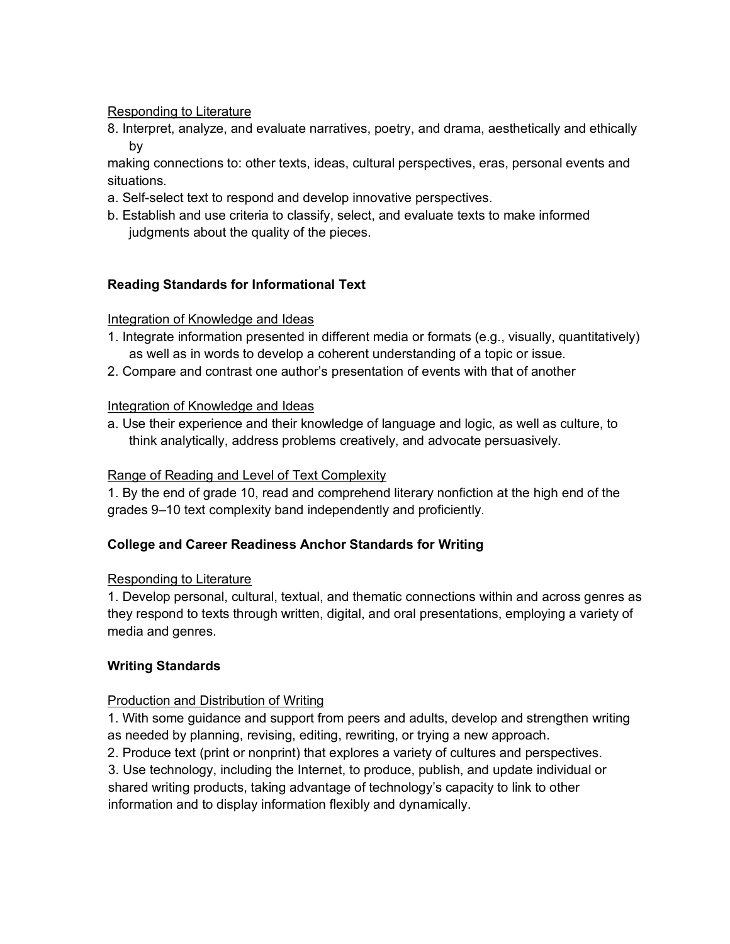### Responding to Literature

8. Interpret, analyze, and evaluate narratives, poetry, and drama, aesthetically and ethically by

making connections to: other texts, ideas, cultural perspectives, eras, personal events and situations.

- a. Self-select text to respond and develop innovative perspectives.
- b. Establish and use criteria to classify, select, and evaluate texts to make informed judgments about the quality of the pieces.

### **Reading Standards for Informational Text**

### Integration of Knowledge and Ideas

- 1. Integrate information presented in different media or formats (e.g., visually, quantitatively) as well as in words to develop a coherent understanding of a topic or issue.
- 2. Compare and contrast one author's presentation of events with that of another

### Integration of Knowledge and Ideas

a. Use their experience and their knowledge of language and logic, as well as culture, to think analytically, address problems creatively, and advocate persuasively.

#### Range of Reading and Level of Text Complexity

1. By the end of grade 10, read and comprehend literary nonfiction at the high end of the grades 9–10 text complexity band independently and proficiently.

### **College and Career Readiness Anchor Standards for Writing**

#### Responding to Literature

1. Develop personal, cultural, textual, and thematic connections within and across genres as they respond to texts through written, digital, and oral presentations, employing a variety of media and genres.

### **Writing Standards**

### Production and Distribution of Writing

1. With some guidance and support from peers and adults, develop and strengthen writing as needed by planning, revising, editing, rewriting, or trying a new approach.

2. Produce text (print or nonprint) that explores a variety of cultures and perspectives.

 3. Use technology, including the Internet, to produce, publish, and update individual or shared writing products, taking advantage of technology's capacity to link to other information and to display information flexibly and dynamically.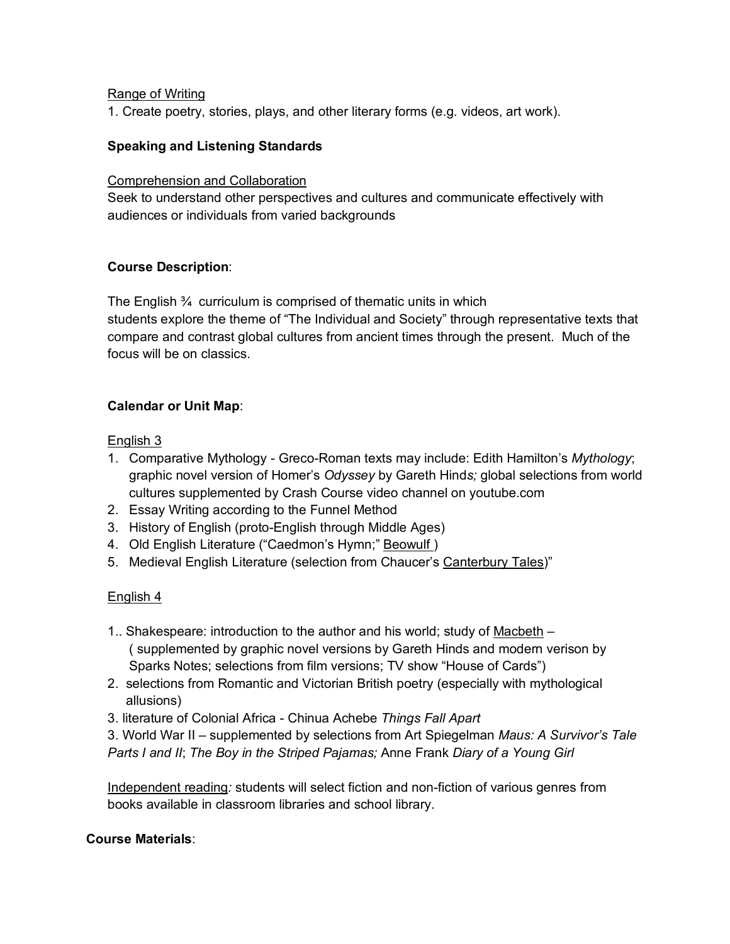## Range of Writing

1. Create poetry, stories, plays, and other literary forms (e.g. videos, art work).

## **Speaking and Listening Standards**

### Comprehension and Collaboration

Seek to understand other perspectives and cultures and communicate effectively with audiences or individuals from varied backgrounds

### **Course Description**:

The English ¾ curriculum is comprised of thematic units in which students explore the theme of "The Individual and Society" through representative texts that compare and contrast global cultures from ancient times through the present. Much of the focus will be on classics.

## **Calendar or Unit Map**:

### English 3

- 1. Comparative Mythology Greco-Roman texts may include: Edith Hamilton's *Mythology*; graphic novel version of Homer's *Odyssey* by Gareth Hind*s;* global selections from world cultures supplemented by Crash Course video channel on youtube.com
- 2. Essay Writing according to the Funnel Method
- 3. History of English (proto-English through Middle Ages)
- 4. Old English Literature ("Caedmon's Hymn;" Beowulf )
- 5. Medieval English Literature (selection from Chaucer's Canterbury Tales)"

# English 4

- 1.. Shakespeare: introduction to the author and his world; study of Macbeth ( supplemented by graphic novel versions by Gareth Hinds and modern verison by Sparks Notes; selections from film versions; TV show "House of Cards")
- 2. selections from Romantic and Victorian British poetry (especially with mythological allusions)
- 3. literature of Colonial Africa Chinua Achebe *Things Fall Apart*

3. World War II – supplemented by selections from Art Spiegelman *Maus: A Survivor's Tale Parts I and II*; *The Boy in the Striped Pajamas;* Anne Frank *Diary of a Young Girl*

Independent reading*:* students will select fiction and non-fiction of various genres from books available in classroom libraries and school library.

## **Course Materials**: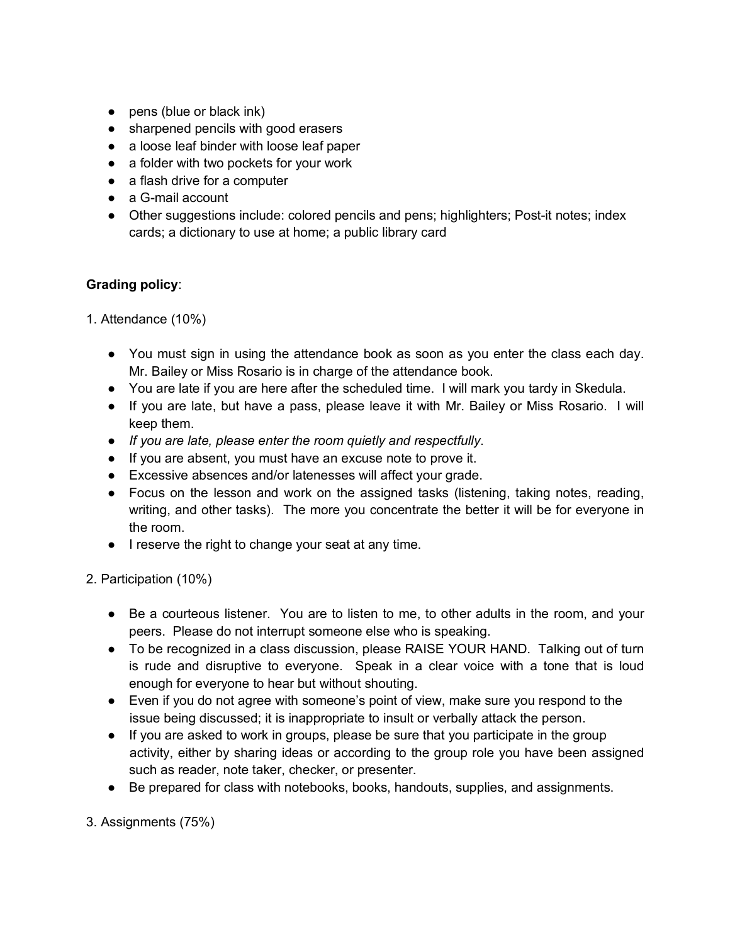- pens (blue or black ink)
- sharpened pencils with good erasers
- a loose leaf binder with loose leaf paper
- a folder with two pockets for your work
- a flash drive for a computer
- a G-mail account
- Other suggestions include: colored pencils and pens; highlighters; Post-it notes; index cards; a dictionary to use at home; a public library card

# **Grading policy**:

- 1. Attendance (10%)
	- You must sign in using the attendance book as soon as you enter the class each day. Mr. Bailey or Miss Rosario is in charge of the attendance book.
	- You are late if you are here after the scheduled time. I will mark you tardy in Skedula.
	- If you are late, but have a pass, please leave it with Mr. Bailey or Miss Rosario. I will keep them.
	- *If you are late, please enter the room quietly and respectfully*.
	- If you are absent, you must have an excuse note to prove it.
	- Excessive absences and/or latenesses will affect your grade.
	- Focus on the lesson and work on the assigned tasks (listening, taking notes, reading, writing, and other tasks). The more you concentrate the better it will be for everyone in the room.
	- I reserve the right to change your seat at any time.

# 2. Participation (10%)

- Be a courteous listener. You are to listen to me, to other adults in the room, and your peers. Please do not interrupt someone else who is speaking.
- To be recognized in a class discussion, please RAISE YOUR HAND. Talking out of turn is rude and disruptive to everyone. Speak in a clear voice with a tone that is loud enough for everyone to hear but without shouting.
- Even if you do not agree with someone's point of view, make sure you respond to the issue being discussed; it is inappropriate to insult or verbally attack the person.
- If you are asked to work in groups, please be sure that you participate in the group activity, either by sharing ideas or according to the group role you have been assigned such as reader, note taker, checker, or presenter.
- Be prepared for class with notebooks, books, handouts, supplies, and assignments.

3. Assignments (75%)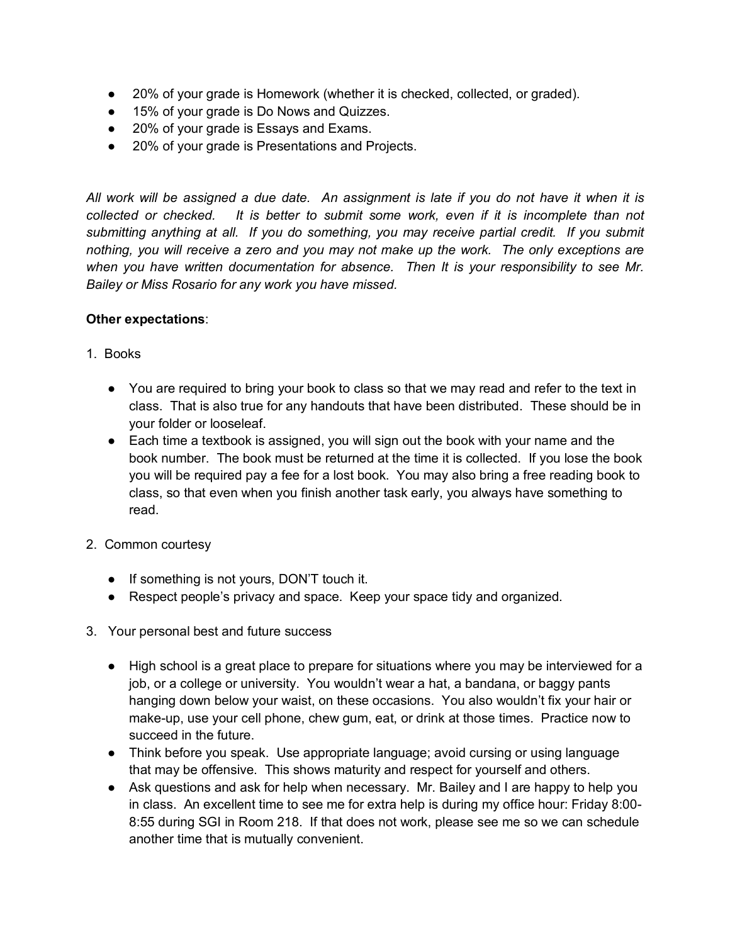- 20% of your grade is Homework (whether it is checked, collected, or graded).
- 15% of your grade is Do Nows and Quizzes.
- 20% of your grade is Essays and Exams.
- 20% of your grade is Presentations and Projects.

*All work will be assigned a due date. An assignment is late if you do not have it when it is collected or checked. It is better to submit some work, even if it is incomplete than not submitting anything at all. If you do something, you may receive partial credit. If you submit nothing, you will receive a zero and you may not make up the work. The only exceptions are when you have written documentation for absence. Then It is your responsibility to see Mr. Bailey or Miss Rosario for any work you have missed.* 

### **Other expectations**:

- 1. Books
	- You are required to bring your book to class so that we may read and refer to the text in class. That is also true for any handouts that have been distributed. These should be in your folder or looseleaf.
	- Each time a textbook is assigned, you will sign out the book with your name and the book number. The book must be returned at the time it is collected. If you lose the book you will be required pay a fee for a lost book. You may also bring a free reading book to class, so that even when you finish another task early, you always have something to read.
- 2. Common courtesy
	- If something is not yours, DON'T touch it.
	- Respect people's privacy and space. Keep your space tidy and organized.
- 3. Your personal best and future success
	- High school is a great place to prepare for situations where you may be interviewed for a job, or a college or university. You wouldn't wear a hat, a bandana, or baggy pants hanging down below your waist, on these occasions. You also wouldn't fix your hair or make-up, use your cell phone, chew gum, eat, or drink at those times. Practice now to succeed in the future.
	- Think before you speak. Use appropriate language; avoid cursing or using language that may be offensive. This shows maturity and respect for yourself and others.
	- Ask questions and ask for help when necessary. Mr. Bailey and I are happy to help you in class. An excellent time to see me for extra help is during my office hour: Friday 8:00- 8:55 during SGI in Room 218. If that does not work, please see me so we can schedule another time that is mutually convenient.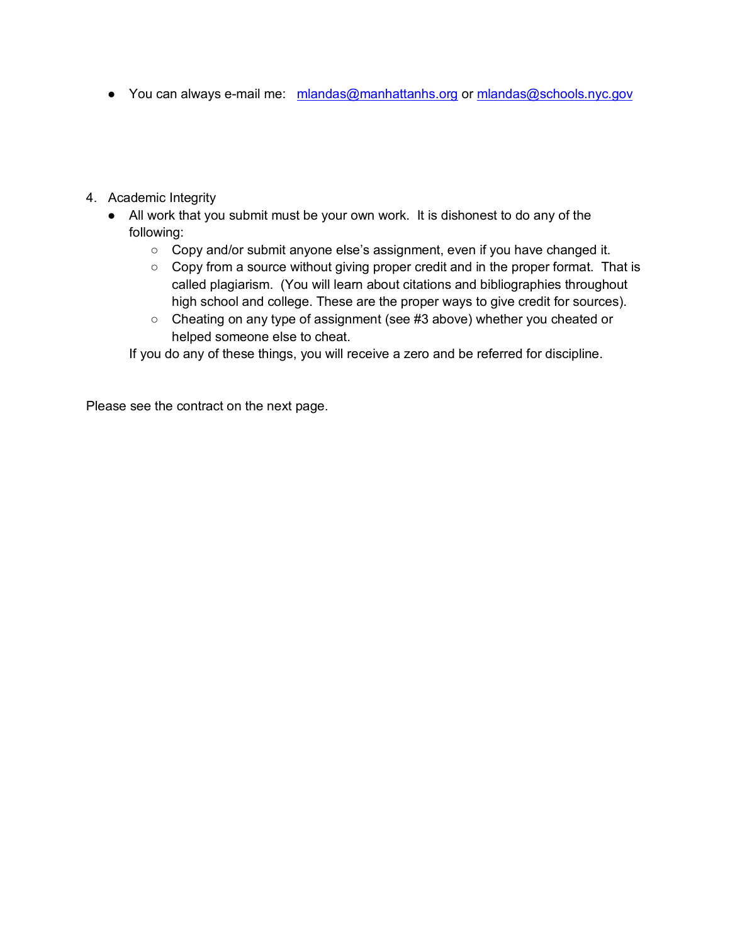- You can always e-mail me: mlandas@manhattanhs.org or mlandas@schools.nyc.gov
- 4. Academic Integrity
	- All work that you submit must be your own work. It is dishonest to do any of the following:
		- Copy and/or submit anyone else's assignment, even if you have changed it.
		- Copy from a source without giving proper credit and in the proper format. That is called plagiarism. (You will learn about citations and bibliographies throughout high school and college. These are the proper ways to give credit for sources).
		- Cheating on any type of assignment (see #3 above) whether you cheated or helped someone else to cheat.

If you do any of these things, you will receive a zero and be referred for discipline.

Please see the contract on the next page.